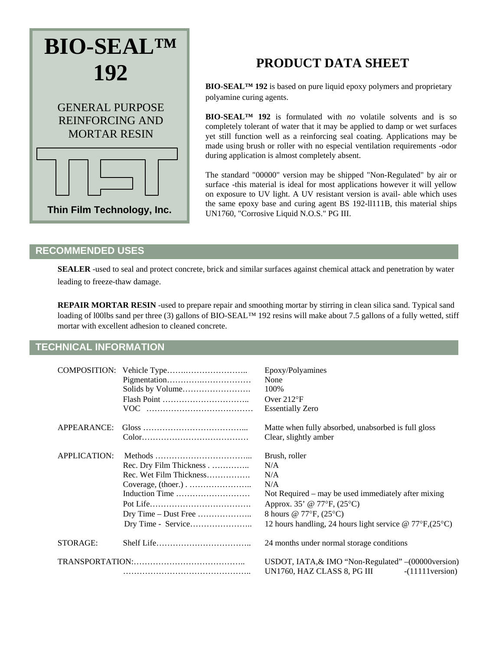

# **PRODUCT DATA SHEET**

**BIO-SEAL™ 192** is based on pure liquid epoxy polymers and proprietary polyamine curing agents.

**BIO-SEAL™ 192** is formulated with *no* volatile solvents and is so completely tolerant of water that it may be applied to damp or wet surfaces yet still function well as a reinforcing seal coating. Applications may be made using brush or roller with no especial ventilation requirements -odor during application is almost completely absent.

The standard "00000" version may be shipped "Non-Regulated" by air or surface -this material is ideal for most applications however it will yellow on exposure to UV light. A UV resistant version is avail- able which uses the same epoxy base and curing agent BS 192-ll111B, this material ships UN1760, "Corrosive Liquid N.O.S." PG III.

### **RECOMMENDED USES**

**SEALER** -used to seal and protect concrete, brick and similar surfaces against chemical attack and penetration by water leading to freeze-thaw damage.

**REPAIR MORTAR RESIN** -used to prepare repair and smoothing mortar by stirring in clean silica sand. Typical sand loading of l00lbs sand per three (3) gallons of BIO-SEAL™ 192 resins will make about 7.5 gallons of a fully wetted, stiff mortar with excellent adhesion to cleaned concrete.

## **TECHNICAL INFORMATION**

| COMPOSITION:        |                                                                      | Epoxy/Polyamines<br>None<br>100%<br>Over $212^{\circ}F$<br><b>Essentially Zero</b>                                                                                                                                   |
|---------------------|----------------------------------------------------------------------|----------------------------------------------------------------------------------------------------------------------------------------------------------------------------------------------------------------------|
| APPEARANCE:         |                                                                      | Matte when fully absorbed, unabsorbed is full gloss<br>Clear, slightly amber                                                                                                                                         |
| <b>APPLICATION:</b> | Rec. Dry Film Thickness<br>Rec. Wet Film Thickness<br>Induction Time | Brush, roller<br>N/A<br>N/A<br>N/A<br>Not Required – may be used immediately after mixing<br>Approx. 35' @ 77°F, (25°C)<br>8 hours @ 77°F, (25°C)<br>12 hours handling, 24 hours light service $\omega$ 77°F, (25°C) |
| STORAGE:            |                                                                      | 24 months under normal storage conditions                                                                                                                                                                            |
| TRANSPORTATION:     |                                                                      | USDOT, IATA, & IMO "Non-Regulated" - (00000 version)<br>UN1760, HAZ CLASS 8, PG III<br>$-(11111)$ version)                                                                                                           |